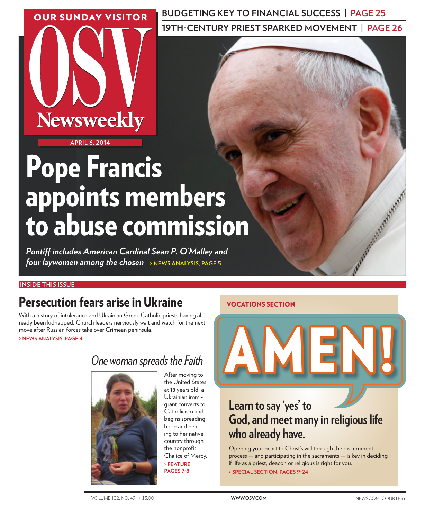**OUR SUNDAY VISITOR** 

**BUDGETING KEY TO FINANCIAL SUCCESS | PAGE 25 19TH-CENTURY PRIEST SPARKED MOVEMENT | PAGE 26** 

**APRIL 6, 2014**

**Newsweekly** 

# Pope Francis appoints members to abuse commission

*Pontiff includes American Cardinal Sean P. O'Malley and four laywomen among the chosen*  **> NEWS ANALYSIS, PAGE 5**

## **INSIDE THIS ISSUE**

# Persecution fears arise in Ukraine

With a history of intolerance and Ukrainian Greek Catholic priests having already been kidnapped, Church leaders nerviously wait and watch for the next move after Russian forces take over Crimean peninsula.

 **> NEWS ANALYSIS, PAGE 4**

# *One woman spreads the Faith*



After moving to the United States at 18 years old, a Ukrainian immigrant converts to Catholicism and begins spreading hope and healing to her native country through the nonprofit Chalice of Mercy.  **> FEATURE, PAGES 7-8**

## VOCATIONS SECTION



# **Learn to say 'yes' to God, and meet many in religious life who already have.**

Opening your heart to Christ's will through the discernment process — and participating in the sacraments — is key in deciding if life as a priest, deacon or religious is right for you.  **> SPECIAL SECTION, PAGES 9-24**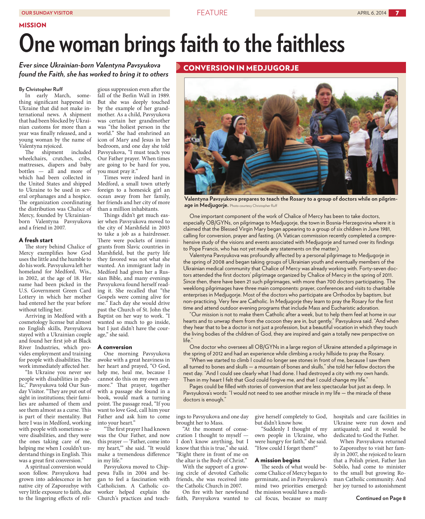#### MISSION

# **One woman brings faith to the faithless**

### *Ever since Ukrainian-born Valentyna Pavsyukova found the Faith, she has worked to bring it to others*

#### **By Christopher Ruff**

In early March, something significant happened in Ukraine that did not make international news. A shipment that had been blocked by Ukrainian customs for more than a year was finally released, and a young woman by the name of Valentyna rejoiced.

The shipment included wheelchairs, crutches, cribs, mattresses, diapers and baby bottles — all and more of which had been collected in the United States and shipped to Ukraine to be used in several orphanages and a hospice. The organization coordinating the distribution was Chalice of Mercy, founded by Ukrainianborn Valentyna Pavsyukova and a friend in 2007.

#### A fresh start

The story behind Chalice of Mercy exemplifies how God uses the little and the humble to do his work. Pavsyukova left her homeland for Medford, Wis., in 2002, at the age of 18. Her name had been picked in the U.S. Government Green Card Lottery in which her mother had entered her the year before without telling her.

Arriving in Medford with a cosmetology license but almost no English skills, Pavsyukova stayed with a Ukrainian couple and found her first job at Black River Industries, which provides employment and training for people with disabilities. The work immediately affected her.

"In Ukraine you never see people with disabilities in public," Pavsyukova told Our Sunday Visitor. "They are put out of sight in institutions; their families are ashamed of them and see them almost as a curse. This is part of their mentality. But here I was in Medford, working with people with sometimes severe disabilities, and they were the ones taking care of me, helping me when I couldn't understand things in English. This was a great first conversion."

A spiritual conversion would soon follow. Pavsyukova had grown into adolescence in her native city of Zaporozhye with very little exposure to faith, due to the lingering effects of reli-

gious suppression even after the fall of the Berlin Wall in 1989. But she was deeply touched by the example of her grandmother. As a child, Pavsyukova was certain her grandmother was "the holiest person in the world." She had enshrined an icon of Mary and Jesus in her bedroom, and one day she told Pavsyukova, "I must teach you Our Father prayer. When times are going to be hard for you, you must pray it."

Times were indeed hard in Medford, a small town utterly foreign to a homesick girl an ocean away from her family, her friends and her city of more than a million inhabitants.

Things didn't get much easier when Pavsyukova moved to the city of Marshfield in 2003 to take a job as a hairdresser. There were pockets of immigrants from Slavic countries in Marshfield, but the party life they favored was not what she wanted. An immigrant lady in Medford had given her a Russian Bible, and many evenings Pavsyukova found herself reading it. She recalled that "the Gospels were coming alive for me." Each day she would drive past the Church of St. John the Baptist on her way to work. "I wanted so much to go inside, but I just didn't have the courage," she said.

#### A conversion

One morning Pavsyukova awoke with a great heaviness in her heart and prayed, "O God, help me, heal me, because I cannot do this on my own anymore." That prayer, together with a passage she found in a book, would mark a turning point. The passage read, "If you want to love God, call him your Father and ask him to come into your heart."

"The first prayer I had known was the Our Father, and now this prayer — 'Father, come into my heart,'" she said. "It would make a tremendous difference in my life."

Pavsyukova moved to Chippewa Falls in 2004 and began to feel a fascination with Catholicism. A Catholic coworker helped explain the Church's practices and teach-



**Valentyna Pavsyukova prepares to teach the Rosary to a group of doctors while on pilgrimage in Medjugorje.** Photo courtesy Christopher Ruff

One important component of the work of Chalice of Mercy has been to take doctors, especially OB/GYNs, on pilgrimage to Medjugorje, the town in Bosnia-Herzegovina where it is claimed that the Blessed Virgin Mary began appearing to a group of six children in June 1981, calling for conversion, prayer and fasting. (A Vatican commission recently completed a comprehensive study of the visions and events associated with Medjugorje and turned over its findings to Pope Francis, who has not yet made any statements on the matter.)

Valentyna Pavsyukova was profoundly affected by a personal pilgrimage to Medjugorje in the spring of 2008 and began taking groups of Ukrainian youth and eventually members of the Ukrainian medical community that Chalice of Mercy was already working with. Forty-seven doctors attended the first doctors' pilgrimage organized by Chalice of Mercy in the spring of 2011. Since then, there have been 21 such pilgrimages, with more than 700 doctors participating. The weeklong pilgrimages have three main components: prayer, conferences and visits to charitable enterprises in Medjugorje. Most of the doctors who participate are Orthodox by baptism, but non-practicing. Very few are Catholic. In Medjugorje they learn to pray the Rosary for the first time and attend outdoor evening programs that include Mass and Eucharistic adoration.

"Our mission is not to make them Catholic after a week, but to help them feel at home in our hearts and to unwrap them from the cocoon they are in, but gently," Pavsyukova said. "And when they hear that to be a doctor is not just a profession, but a beautiful vocation in which they touch the living bodies of the children of God, they are inspired and gain a totally new perspective on life."

One doctor who oversees all OB/GYNs in a large region of Ukraine attended a pilgrimage in the spring of 2012 and had an experience while climbing a rocky hillside to pray the Rosary.

"When we started to climb I could no longer see stones in front of me, because I saw them all turned to bones and skulls — a mountain of bones and skulls," she told her fellow doctors the next day. "And I could see clearly what I had done. I had destroyed a city with my own hands. Then in my heart I felt that God could forgive me, and that I could change my life."

Pages could be filled with stories of conversion that are less spectacular but just as deep. In Pavsyukova's words: "I would not need to see another miracle in my life — the miracle of these doctors is enough."

ings to Pavsyukova and one day brought her to Mass.

"At the moment of consecration I thought to myself — I don't know anything, but I know that this is true," she said. "Right there in front of me on the altar is the Body of Christ."

With the support of a growing circle of devoted Catholic friends, she was received into the Catholic Church in 2007.

On fire with her newfound faith, Pavsyukova wanted to

give herself completely to God, but didn't know how.

"Suddenly I thought of my own people in Ukraine, who were hungry for faith," she said. "How could I forget them?"

#### A mission begins

The seeds of what would become Chalice of Mercy began to germinate, and in Pavsyukova's mind two priorities emerged: the mission would have a medical focus, because so many

hospitals and care facilities in Ukraine were run down and antiquated; and it would be dedicated to God the Father.

When Pavsyukova returned to Zaporozhye to visit her family in 2007, she rejoiced to learn that a Polish priest, Father Jan Sobilo, had come to minister to the small but growing Roman Catholic community. And her joy turned to astonishment